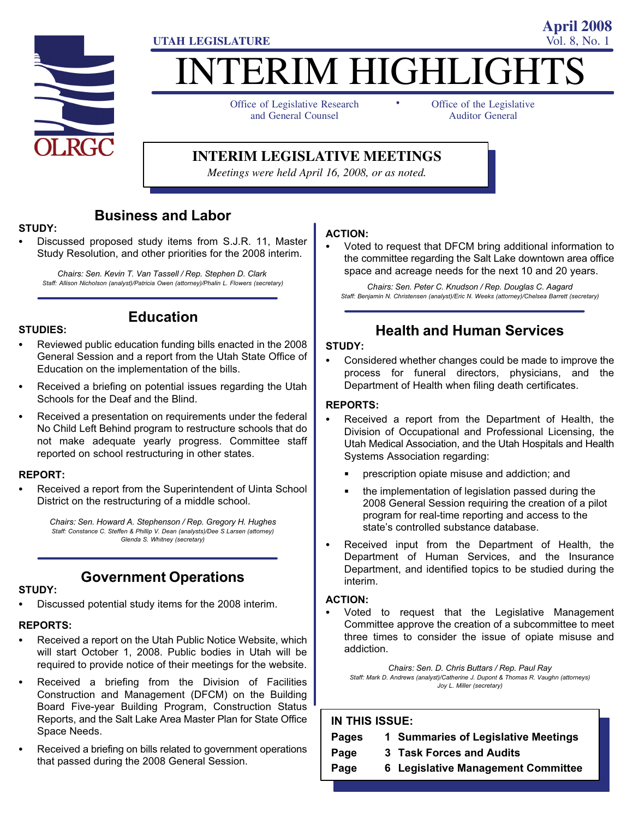

# **ITERIM HIGHLIGHT** -

**UTAH LEGISLATURE** Vol. 8, No. 1

Office of Legislative Research and General Counsel

Office of the Legislative Auditor General

**April 2008**

#### **INTERIM LEGISLATIVE MEETINGS**

*Meetings were held April 16, 2008, or as noted.*

#### Business and Labor

#### STUDY:

 Discussed proposed study items from S.J.R. 11, Master Study Resolution, and other priorities for the 2008 interim.

Chairs: Sen. Kevin T. Van Tassell / Rep. Stephen D. Clark Staff: Allison Nicholson (analyst)/Patricia Owen (attorney)/Phalin L. Flowers (secretary)

### STUDIES: -

 Reviewed public education funding bills enacted in the 2008 General Session and a report from the Utah State Office of Education on the implementation of the bills.

Education

- Received a briefing on potential issues regarding the Utah Schools for the Deaf and the Blind.
- Received a presentation on requirements under the federal No Child Left Behind program to restructure schools that do not make adequate yearly progress. Committee staff reported on school restructuring in other states.

### REPORT:<br>-

 Received a report from the Superintendent of Uinta School District on the restructuring of a middle school.

> Chairs: Sen. Howard A. Stephenson / Rep. Gregory H. Hughes Staff: Constance C. Steffen & Phillip V. Dean (analysts)/Dee S Larsen (attorney) Glenda S. Whitney (secretary)

#### Government Operations

### STUDY:<br>--

Discussed potential study items for the 2008 interim.

### REPORTS:<br>—

- Received a report on the Utah Public Notice Website, which will start October 1, 2008. Public bodies in Utah will be required to provide notice of their meetings for the website.
- Received a briefing from the Division of Facilities Construction and Management (DFCM) on the Building Board Five−year Building Program, Construction Status Reports, and the Salt Lake Area Master Plan for State Office Space Needs.
- Received a briefing on bills related to government operations that passed during the 2008 General Session.

#### ACTION: -

 Voted to request that DFCM bring additional information to the committee regarding the Salt Lake downtown area office space and acreage needs for the next 10 and 20 years.

Chairs: Sen. Peter C. Knudson / Rep. Douglas C. Aagard Staff: Benjamin N. Christensen (analyst)/Eric N. Weeks (attorney)/Chelsea Barrett (secretary)

#### Health and Human Services

#### STUDY:

 Considered whether changes could be made to improve the process for funeral directors, physicians, and the Department of Health when filing death certificates.

#### REPORTS: -

- Received a report from the Department of Health, the Division of Occupational and Professional Licensing, the Utah Medical Association, and the Utah Hospitals and Health Systems Association regarding:
	- prescription opiate misuse and addiction; and
	- the implementation of legislation passed during the 2008 General Session requiring the creation of a pilot program for real−time reporting and access to the state's controlled substance database.
- Received input from the Department of Health, the Department of Human Services, and the Insurance Department, and identified topics to be studied during the interim.

#### ACTION:

 Voted to request that the Legislative Management Committee approve the creation of a subcommittee to meet three times to consider the issue of opiate misuse and addiction.

Chairs: Sen. D. Chris Buttars / Rep. Paul Ray Staff: Mark D. Andrews (analyst)/Catherine J. Dupont & Thomas R. Vaughn (attorneys) Joy L. Miller (secretary)

#### IN THIS ISSUE:

| <b>Pages</b> | 1 Summaries of Legislative Meetings |
|--------------|-------------------------------------|
| Page         | 3 Task Forces and Audits            |
| Page         | 6 Legislative Management Committee  |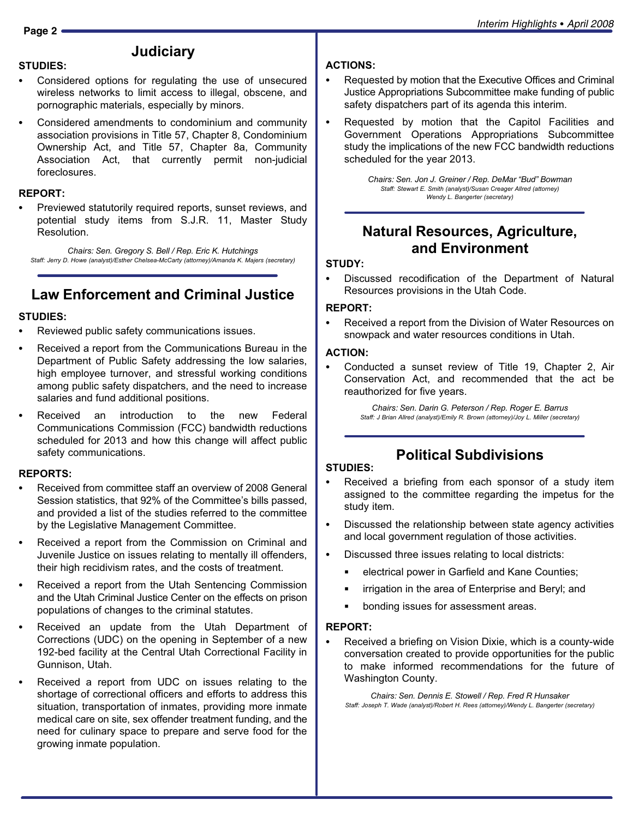#### **Judiciary**

- STUDIES:<br>- Considered options for regulating the use of unsecured wireless networks to limit access to illegal, obscene, and pornographic materials, especially by minors.
- Considered amendments to condominium and community association provisions in Title 57, Chapter 8, Condominium Ownership Act, and Title 57, Chapter 8a, Community Association Act, that currently permit non−judicial foreclosures.

### REPORT: -

 Previewed statutorily required reports, sunset reviews, and potential study items from S.J.R. 11, Master Study Resolution.

Chairs: Sen. Gregory S. Bell / Rep. Eric K. Hutchings Staff: Jerry D. Howe (analyst)/Esther Chelsea−McCarty (attorney)/Amanda K. Majers (secretary)

### Law Enforcement and Criminal Justice

### STUDIES:<br>-

- Reviewed public safety communications issues.
- Received a report from the Communications Bureau in the Department of Public Safety addressing the low salaries, high employee turnover, and stressful working conditions among public safety dispatchers, and the need to increase salaries and fund additional positions.
- Received an introduction to the new Federal Communications Commission (FCC) bandwidth reductions scheduled for 2013 and how this change will affect public safety communications.

#### REPORTS: -

- Received from committee staff an overview of 2008 General Session statistics, that 92% of the Committee's bills passed, and provided a list of the studies referred to the committee by the Legislative Management Committee.
- Received a report from the Commission on Criminal and Juvenile Justice on issues relating to mentally ill offenders, their high recidivism rates, and the costs of treatment.
- Received a report from the Utah Sentencing Commission and the Utah Criminal Justice Center on the effects on prison populations of changes to the criminal statutes.
- Received an update from the Utah Department of Corrections (UDC) on the opening in September of a new 192−bed facility at the Central Utah Correctional Facility in Gunnison, Utah.
- Received a report from UDC on issues relating to the shortage of correctional officers and efforts to address this situation, transportation of inmates, providing more inmate medical care on site, sex offender treatment funding, and the need for culinary space to prepare and serve food for the growing inmate population.

## ACTIONS: -

- Requested by motion that the Executive Offices and Criminal Justice Appropriations Subcommittee make funding of public safety dispatchers part of its agenda this interim.
- Requested by motion that the Capitol Facilities and Government Operations Appropriations Subcommittee study the implications of the new FCC bandwidth reductions scheduled for the year 2013.

Chairs: Sen. Jon J. Greiner / Rep. DeMar "Bud" Bowman Staff: Stewart E. Smith (analyst)/Susan Creager Allred (attorney) Wendy L. Bangerter (secretary)

#### Natural Resources, Agriculture, and Environment

#### STUDY:<br>--

 Discussed recodification of the Department of Natural Resources provisions in the Utah Code.

#### REPORT:<br>-

 Received a report from the Division of Water Resources on snowpack and water resources conditions in Utah.

#### ACTION: -

 Conducted a sunset review of Title 19, Chapter 2, Air Conservation Act, and recommended that the act be reauthorized for five years.

> Chairs: Sen. Darin G. Peterson / Rep. Roger E. Barrus Staff: J Brian Allred (analyst)/Emily R. Brown (attorney)/Joy L. Miller (secretary)

#### Political Subdivisions

### STUDIES:<br>-

- Received a briefing from each sponsor of a study item assigned to the committee regarding the impetus for the study item.
- Discussed the relationship between state agency activities and local government regulation of those activities.
- Discussed three issues relating to local districts:
	- electrical power in Garfield and Kane Counties;
	- irrigation in the area of Enterprise and Beryl; and
	- bonding issues for assessment areas.

### REPORT: -

 Received a briefing on Vision Dixie, which is a county−wide conversation created to provide opportunities for the public to make informed recommendations for the future of Washington County.

Chairs: Sen. Dennis E. Stowell / Rep. Fred R Hunsaker Staff: Joseph T. Wade (analyst)/Robert H. Rees (attorney)/Wendy L. Bangerter (secretary)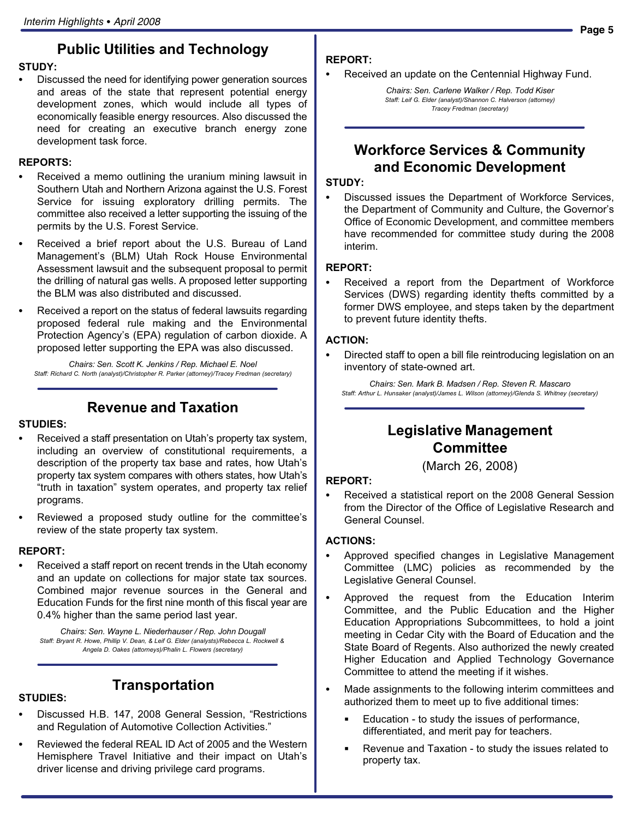#### Public Utilities and Technology

#### STUDY:

 Discussed the need for identifying power generation sources and areas of the state that represent potential energy development zones, which would include all types of economically feasible energy resources. Also discussed the need for creating an executive branch energy zone development task force.

#### REPORTS: -

- Received a memo outlining the uranium mining lawsuit in Southern Utah and Northern Arizona against the U.S. Forest Service for issuing exploratory drilling permits. The committee also received a letter supporting the issuing of the permits by the U.S. Forest Service.
- Received a brief report about the U.S. Bureau of Land Management's (BLM) Utah Rock House Environmental Assessment lawsuit and the subsequent proposal to permit the drilling of natural gas wells. A proposed letter supporting the BLM was also distributed and discussed.
- Received a report on the status of federal lawsuits regarding proposed federal rule making and the Environmental Protection Agency's (EPA) regulation of carbon dioxide. A proposed letter supporting the EPA was also discussed.

Chairs: Sen. Scott K. Jenkins / Rep. Michael E. Noel Staff: Richard C. North (analyst)/Christopher R. Parker (attorney)/Tracey Fredman (secretary)

#### Revenue and Taxation

### STUDIES:<br>-

- Received a staff presentation on Utah's property tax system, including an overview of constitutional requirements, a description of the property tax base and rates, how Utah's property tax system compares with others states, how Utah's -truth in taxation" system operates, and property tax relief programs.
- Reviewed a proposed study outline for the committee's review of the state property tax system.

#### REPORT:<br>-

 Received a staff report on recent trends in the Utah economy and an update on collections for major state tax sources. Combined major revenue sources in the General and Education Funds for the first nine month of this fiscal year are 0.4% higher than the same period last year.

Chairs: Sen. Wayne L. Niederhauser / Rep. John Dougall Staff: Bryant R. Howe, Phillip V. Dean, & Leif G. Elder (analysts)/Rebecca L. Rockwell & Angela D. Oakes (attorneys)/Phalin L. Flowers (secretary)

#### STUDIES: -

Transportation

• Discussed H.B. 147, 2008 General Session, "Restrictions and Regulation of Automotive Collection Activities."

driver license and driving privilege card programs.

 Reviewed the federal REAL ID Act of 2005 and the Western Hemisphere Travel Initiative and their impact on Utah's

### REPORT: -

Received an update on the Centennial Highway Fund.

Chairs: Sen. Carlene Walker / Rep. Todd Kiser Staff: Leif G. Elder (analyst)/Shannon C. Halverson (attorney) Tracey Fredman (secretary)

#### Workforce Services & Community and Economic Development

#### STUDY:<br>--

 Discussed issues the Department of Workforce Services, the Department of Community and Culture, the Governor's Office of Economic Development, and committee members have recommended for committee study during the 2008 interim.

#### REPORT: -

 Received a report from the Department of Workforce Services (DWS) regarding identity thefts committed by a former DWS employee, and steps taken by the department to prevent future identity thefts.

#### ACTION:

 Directed staff to open a bill file reintroducing legislation on an inventory of state−owned art.

Chairs: Sen. Mark B. Madsen / Rep. Steven R. Mascaro Staff: Arthur L. Hunsaker (analyst)/James L. Wilson (attorney)/Glenda S. Whitney (secretary)

#### Legislative Management **Committee**

(March 26, 2008)

#### REPORT: -

 Received a statistical report on the 2008 General Session from the Director of the Office of Legislative Research and General Counsel.

#### ACTIONS: -

- Approved specified changes in Legislative Management Committee (LMC) policies as recommended by the Legislative General Counsel.
- Approved the request from the Education Interim Committee, and the Public Education and the Higher Education Appropriations Subcommittees, to hold a joint meeting in Cedar City with the Board of Education and the State Board of Regents. Also authorized the newly created Higher Education and Applied Technology Governance Committee to attend the meeting if it wishes.
- Made assignments to the following interim committees and authorized them to meet up to five additional times:
	- Education − to study the issues of performance, differentiated, and merit pay for teachers.
	- Revenue and Taxation − to study the issues related to property tax.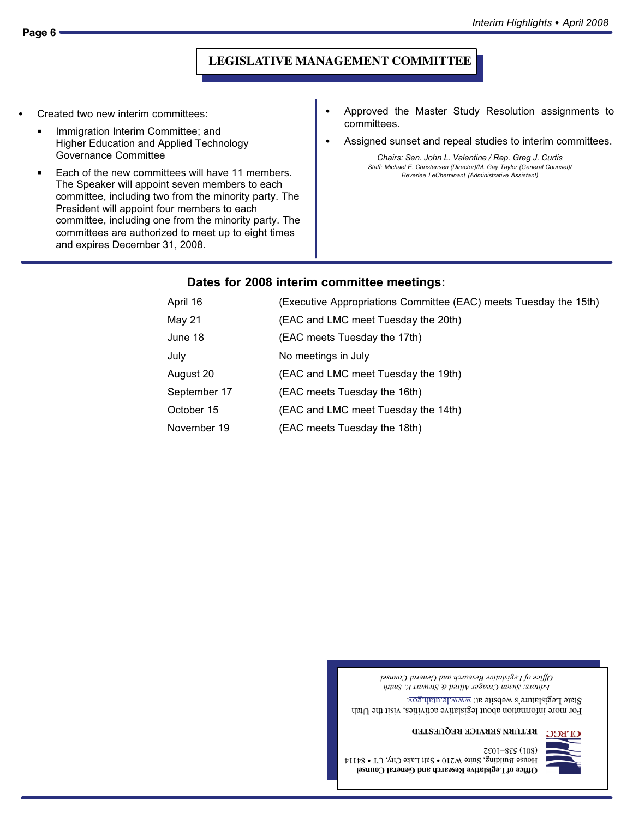#### **LEGISLATIVE MANAGEMENT COMMITTEE**

- Created two new interim committees:
	- Immigration Interim Committee; and Higher Education and Applied Technology Governance Committee
	- Each of the new committees will have 11 members. The Speaker will appoint seven members to each committee, including two from the minority party. The President will appoint four members to each committee, including one from the minority party. The committees are authorized to meet up to eight times and expires December 31, 2008.
- Approved the Master Study Resolution assignments to committees.
- Assigned sunset and repeal studies to interim committees.

Chairs: Sen. John L. Valentine / Rep. Greg J. Curtis Staff: Michael E. Christensen (Director)/M. Gay Taylor (General Counsel)/ Beverlee LeCheminant (Administrative Assistant)

#### Dates for 2008 interim committee meetings:

| April 16     | (Executive Appropriations Committee (EAC) meets Tuesday the 15th) |  |  |
|--------------|-------------------------------------------------------------------|--|--|
| May 21       | (EAC and LMC meet Tuesday the 20th)                               |  |  |
| June 18      | (EAC meets Tuesday the 17th)                                      |  |  |
| July         | No meetings in July                                               |  |  |
| August 20    | (EAC and LMC meet Tuesday the 19th)                               |  |  |
| September 17 | (EAC meets Tuesday the 16th)                                      |  |  |
| October 15   | (EAC and LMC meet Tuesday the 14th)                               |  |  |
| November 19  | (EAC meets Tuesday the 18th)                                      |  |  |

*Editors: Susan Creager Allred & Stewart E. Smith Office of Legislative Research and General Counsel*

For more information about legislative activities, visit the Utah State Legislature's website at:  $www.lc.uatu.gov$ 

**RETURN SERVICE REQUESTED**

**Office of Legislative Research and General Counsel**  ${\rm H}$ ouse Building, S $\rm _{1}$ uite W210  $\bullet$  Salt Lake City, UT  $\bullet$  84114 7801-855 (108)